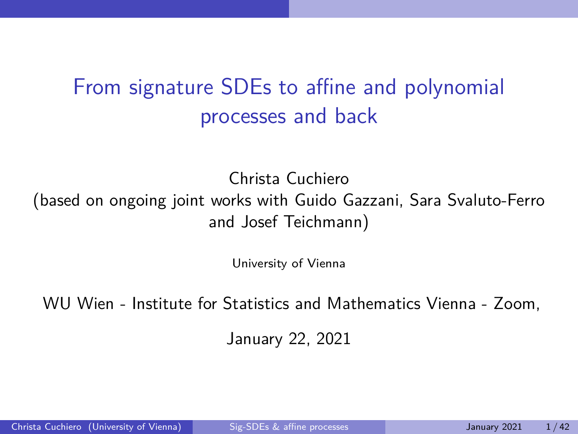# <span id="page-0-0"></span>From signature SDEs to affine and polynomial processes and back

Christa Cuchiero

(based on ongoing joint works with Guido Gazzani, Sara Svaluto-Ferro and Josef Teichmann)

University of Vienna

WU Wien - Institute for Statistics and Mathematics Vienna - Zoom,

January 22, 2021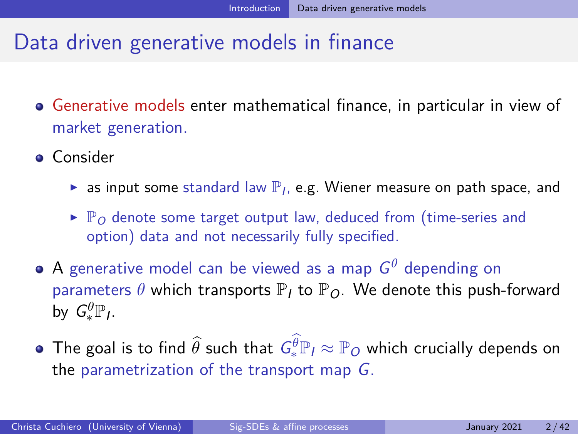# <span id="page-1-0"></span>Data driven generative models in finance

- Generative models enter mathematical finance, in particular in view of market generation.
- **o** Consider
	- ightharpoon as input some standard law  $\mathbb{P}_I$ , e.g. Wiener measure on path space, and
	- $\blacktriangleright$   $\mathbb{P}_{\Omega}$  denote some target output law, deduced from (time-series and option) data and not necessarily fully specified.
- A generative model can be viewed as a map G *<sup>θ</sup>* depending on parameters  $\theta$  which transports  $\mathbb{P}_I$  to  $\mathbb{P}_O$ . We denote this push-forward by  $G_*^{\theta} \mathbb{P}_l$ .
- The goal is to find  $\widehat\theta$  such that  $\mathit{G}_*^{\theta} \mathbb{P}_I \approx \mathbb{P}_O$  which crucially depends on the parametrization of the transport map G.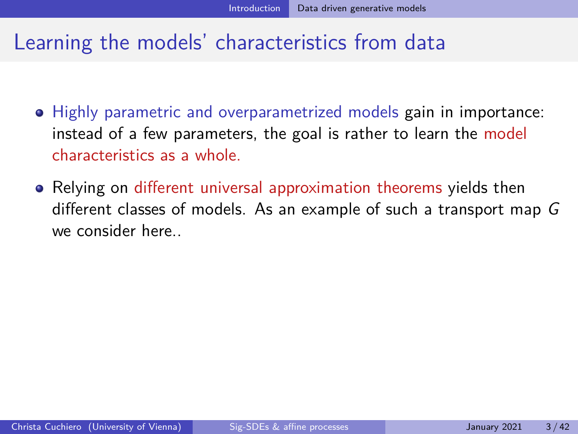# Learning the models' characteristics from data

- Highly parametric and overparametrized models gain in importance: instead of a few parameters, the goal is rather to learn the model characteristics as a whole.
- Relying on different universal approximation theorems yields then different classes of models. As an example of such a transport map G we consider here..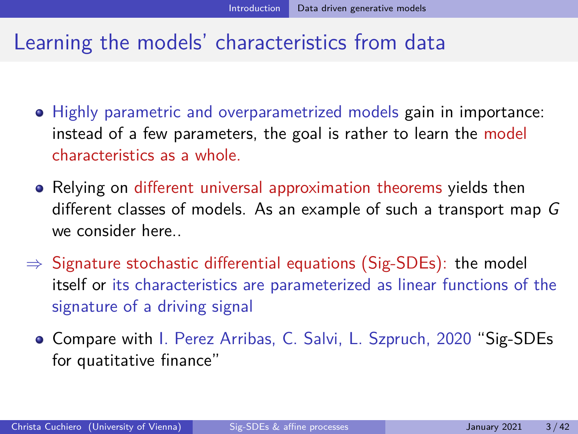### Learning the models' characteristics from data

- Highly parametric and overparametrized models gain in importance: instead of a few parameters, the goal is rather to learn the model characteristics as a whole.
- Relying on different universal approximation theorems yields then different classes of models. As an example of such a transport map G we consider here..
- $\Rightarrow$  Signature stochastic differential equations (Sig-SDEs): the model itself or its characteristics are parameterized as linear functions of the signature of a driving signal
	- Compare with I. Perez Arribas, C. Salvi, L. Szpruch, 2020 "Sig-SDEs for quatitative finance"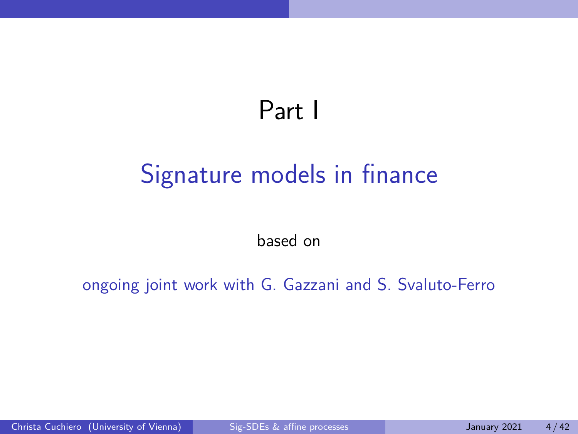# Part I

# <span id="page-4-0"></span>[Signature models in finance](#page-4-0)

based on

ongoing joint work with G. Gazzani and S. Svaluto-Ferro

Christa Cuchiero (University of Vienna) [Sig-SDEs & affine processes](#page-0-0) January 2021 4/42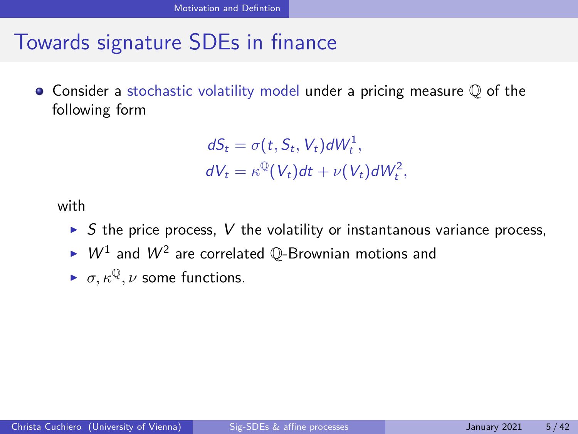# <span id="page-5-0"></span>Towards signature SDEs in finance

 $\bullet$  Consider a stochastic volatility model under a pricing measure  $\mathbb Q$  of the following form

$$
dS_t = \sigma(t, S_t, V_t) dW_t^1,
$$
  

$$
dV_t = \kappa^{\mathbb{Q}}(V_t) dt + \nu(V_t) dW_t^2,
$$

with

- $\triangleright$  S the price process, V the volatility or instantanous variance process,
- $\blacktriangleright$   $W^1$  and  $W^2$  are correlated Q-Brownian motions and
- $\triangleright$   $\sigma, \kappa^{\mathbb{Q}}, \nu$  some functions.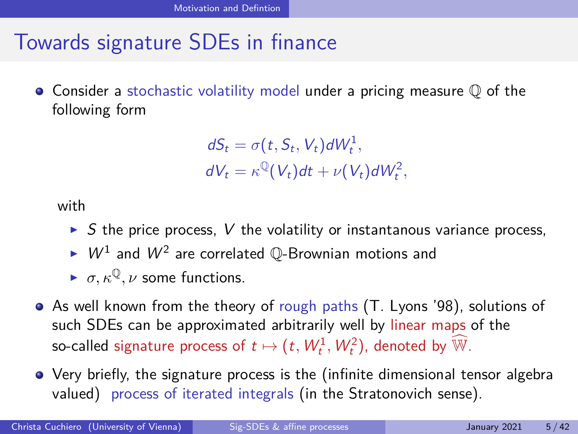# Towards signature SDEs in finance

 $\bullet$  Consider a stochastic volatility model under a pricing measure  $\mathbb Q$  of the following form

> $dS_t = \sigma(t, S_t, V_t) dW_t^1$  $dV_t = \kappa^{\mathbb{Q}}(V_t)dt + \nu(V_t)dW_t^2$

with

- $\triangleright$  S the price process, V the volatility or instantanous variance process,
- $\blacktriangleright$   $W^1$  and  $W^2$  are correlated Q-Brownian motions and
- $\triangleright$   $\sigma, \kappa^{\mathbb{Q}}, \nu$  some functions.
- As well known from the theory of rough paths (T. Lyons '98), solutions of such SDEs can be approximated arbitrarily well by linear maps of the so-called signature process of  $t \mapsto (t, W_t^1, W_t^2)$ , denoted by  $\widehat{\mathbb{W}}$ .
- Very briefly, the signature process is the (infinite dimensional tensor algebra valued) process of iterated integrals (in the Stratonovich sense).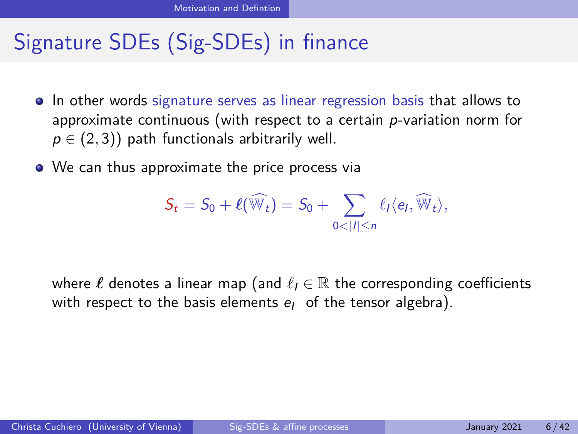# Signature SDEs (Sig-SDEs) in finance

- In other words signature serves as linear regression basis that allows to approximate continuous (with respect to a certain  $p$ -variation norm for  $p \in (2, 3)$ ) path functionals arbitrarily well.
- We can thus approximate the price process via

$$
S_t = S_0 + \ell(\widehat{\mathbb{W}}_t) = S_0 + \sum_{0 < |I| \leq n} \ell_I \langle e_I, \widehat{\mathbb{W}}_t \rangle,
$$

where  $\ell$  denotes a linear map (and  $\ell_1 \in \mathbb{R}$  the corresponding coefficients with respect to the basis elements  $e_1$  of the tensor algebra).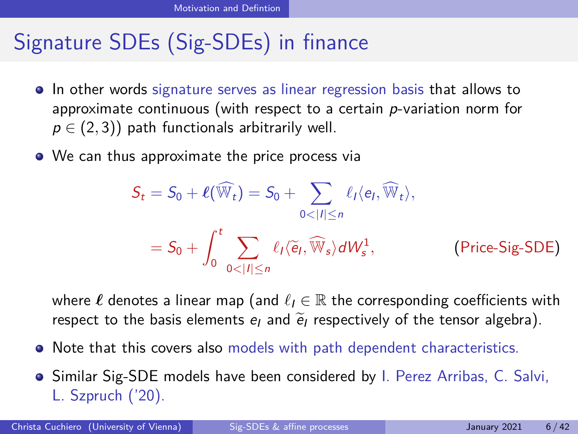# Signature SDEs (Sig-SDEs) in finance

- In other words signature serves as linear regression basis that allows to approximate continuous (with respect to a certain  $p$ -variation norm for  $p \in (2, 3)$ ) path functionals arbitrarily well.
- We can thus approximate the price process via

$$
S_t = S_0 + \ell(\widehat{\mathbb{W}}_t) = S_0 + \sum_{0 < |t| \le n} \ell_t \langle e_t, \widehat{\mathbb{W}}_t \rangle,
$$
\n
$$
= S_0 + \int_0^t \sum_{0 < |t| \le n} \ell_t \langle \widetilde{e}_t, \widehat{\mathbb{W}}_s \rangle dW_s^1, \qquad \text{(Price-Sig-SDE)}
$$

where  $\ell$  denotes a linear map (and  $\ell_i \in \mathbb{R}$  the corresponding coefficients with respect to the basis elements  $e_l$  and  $\tilde{e}_l$  respectively of the tensor algebra).

- Note that this covers also models with path dependent characteristics.
- **Shimar Sig-SDE models have been considered by I. Perez Arribas, C. Salvi,** L. Szpruch ('20).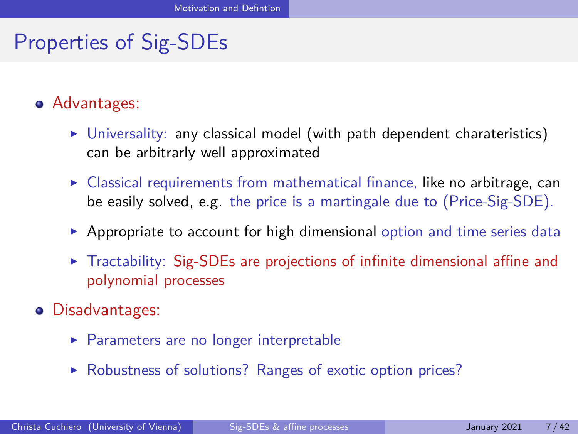# Properties of Sig-SDEs

- Advantages:
	- $\triangleright$  Universality: any classical model (with path dependent charateristics) can be arbitrarly well approximated
	- $\triangleright$  Classical requirements from mathematical finance, like no arbitrage, can be easily solved, e.g. the price is a martingale due to (Price-Sig-SDE).
	- $\triangleright$  Appropriate to account for high dimensional option and time series data
	- $\triangleright$  Tractability: Sig-SDEs are projections of infinite dimensional affine and polynomial processes
- Disadvantages:
	- $\blacktriangleright$  Parameters are no longer interpretable
	- ▶ Robustness of solutions? Ranges of exotic option prices?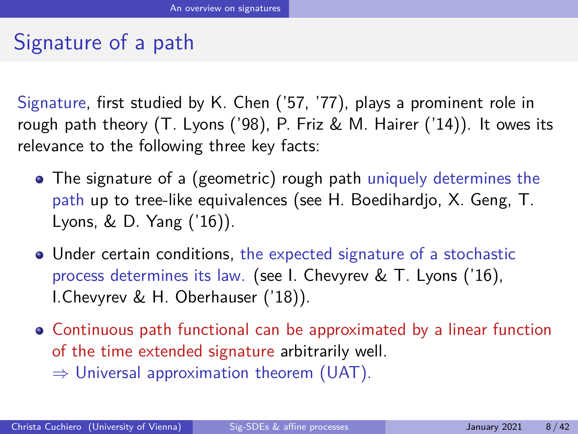# <span id="page-10-0"></span>Signature of a path

Signature, first studied by K. Chen ('57, '77), plays a prominent role in rough path theory (T. Lyons ('98), P. Friz & M. Hairer ('14)). It owes its relevance to the following three key facts:

- The signature of a (geometric) rough path uniquely determines the path up to tree-like equivalences (see H. Boedihardjo, X. Geng, T. Lyons, & D. Yang ('16)).
- Under certain conditions, the expected signature of a stochastic process determines its law. (see I. Chevyrev & T. Lyons ('16), I.Chevyrev & H. Oberhauser ('18)).
- Continuous path functional can be approximated by a linear function of the time extended signature arbitrarily well.  $\Rightarrow$  Universal approximation theorem (UAT).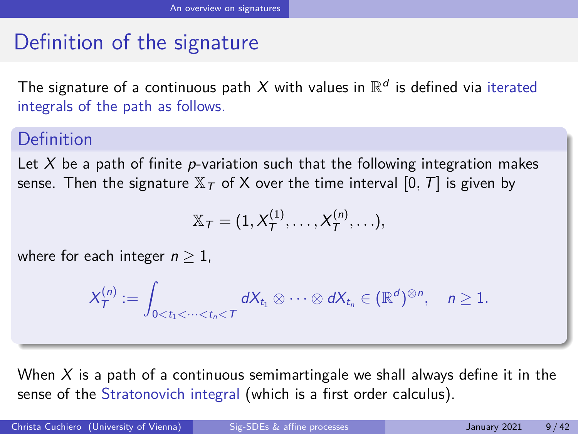# Definition of the signature

The signature of a continuous path  $X$  with values in  $\mathbb{R}^d$  is defined via iterated integrals of the path as follows.

#### Definition

Let  $X$  be a path of finite p-variation such that the following integration makes sense. Then the signature  $\mathbb{X}_T$  of X over the time interval [0, T] is given by

$$
\mathbb{X}_T=(1,X_T^{(1)},\ldots,X_T^{(n)},\ldots),
$$

where for each integer  $n > 1$ ,

$$
X^{(n)}_{\mathcal{T}}:=\int_{0
$$

When  $X$  is a path of a continuous semimartingale we shall always define it in the sense of the Stratonovich integral (which is a first order calculus).

Christa Cuchiero (University of Vienna) [Sig-SDEs & affine processes](#page-0-0) January 2021 9/42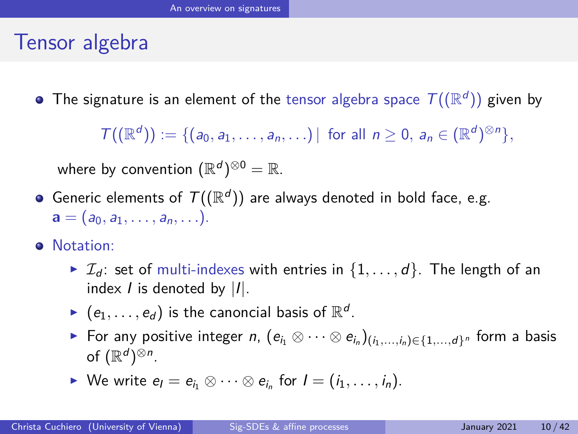#### Tensor algebra

The signature is an element of the tensor algebra space  $\,\mathcal{T}((\mathbb{R}^d))$  given by

 $\mathcal{T}((\mathbb{R}^d)) := \{ (a_0, a_1, \ldots, a_n, \ldots) | \text{ for all } n \geq 0, a_n \in (\mathbb{R}^d)^{\otimes n} \},$ 

where by convention  $(\mathbb{R}^d)^{\otimes 0} = \mathbb{R}.$ 

- Generic elements of  $\mathcal{T}((\mathbb{R}^d))$  are always denoted in bold face, e.g.  $\mathbf{a} = (a_0, a_1, \ldots, a_n, \ldots).$
- **•** Notation:
	- $\blacktriangleright$   $\mathcal{I}_d$ : set of multi-indexes with entries in  $\{1, \ldots, d\}$ . The length of an index  $I$  is denoted by  $|I|$ .
	- $\blacktriangleright$   $\, (e_1, \ldots, e_d)$  is the canoncial basis of  $\mathbb{R}^d.$
	- ► For any positive integer *n*,  $(e_{i_1}\otimes\cdots\otimes e_{i_n})_{(i_1,...,i_n)\in\{1,...,d\}^n}$  form a basis of  $(\mathbb{R}^d)^{\otimes n}$ .
	- ► We write  $e_i = e_{i_1} \otimes \cdots \otimes e_{i_n}$  for  $I = (i_1, \ldots, i_n)$ .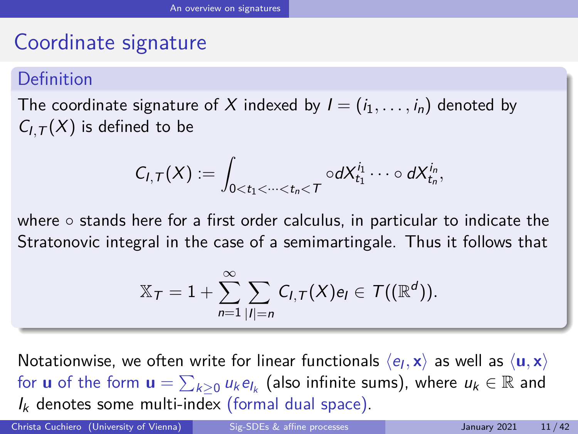### Coordinate signature

#### Definition

The coordinate signature of X indexed by  $I = (i_1, \ldots, i_n)$  denoted by  $C_{LT}(X)$  is defined to be

$$
C_{I,T}(X):=\int_{0
$$

where ∘ stands here for a first order calculus, in particular to indicate the Stratonovic integral in the case of a semimartingale. Thus it follows that

$$
\mathbb{X}_\mathcal{T}=1+\sum_{n=1}^\infty\sum_{|I|=n}C_{I,\mathcal{T}}(X)e_I\in \mathcal{T}((\mathbb{R}^d)).
$$

Notationwise, we often write for linear functionals  $\langle e_{l}, {\bf x}\rangle$  as well as  $\langle {\bf u}, {\bf x}\rangle$ for  $\boldsymbol{\mathsf{u}}$  of the form  $\boldsymbol{\mathsf{u}} = \sum_{k\geq 0} u_k e_{l_k}$  (also infinite sums), where  $u_k \in \mathbb{R}$  and  $I_k$  denotes some multi-index (formal dual space).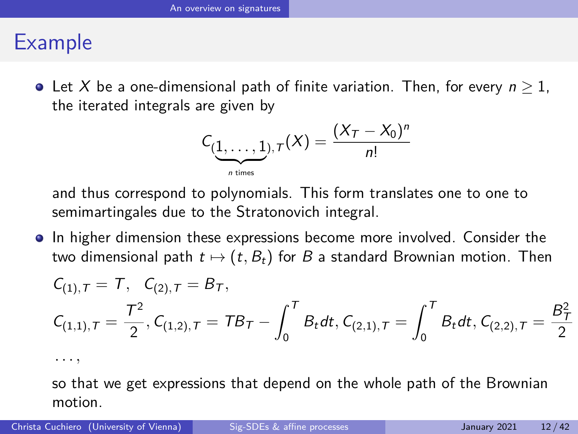## Example

• Let X be a one-dimensional path of finite variation. Then, for every  $n \geq 1$ , the iterated integrals are given by

$$
C_{(\underbrace{1,\ldots,1}_{n \text{ times}}),\,T}(X) = \frac{(X_T - X_0)^n}{n!}
$$

and thus correspond to polynomials. This form translates one to one to semimartingales due to the Stratonovich integral.

In higher dimension these expressions become more involved. Consider the two dimensional path  $t \mapsto (t, B_t)$  for B a standard Brownian motion. Then

$$
C_{(1),T} = T, C_{(2),T} = B_T,
$$
  
\n
$$
C_{(1,1),T} = \frac{T^2}{2}, C_{(1,2),T} = T B_T - \int_0^T B_t dt, C_{(2,1),T} = \int_0^T B_t dt, C_{(2,2),T} = \frac{B_T^2}{2}
$$

*. . . ,*

so that we get expressions that depend on the whole path of the Brownian motion.

Christa Cuchiero (University of Vienna) [Sig-SDEs & affine processes](#page-0-0) January 2021 12/42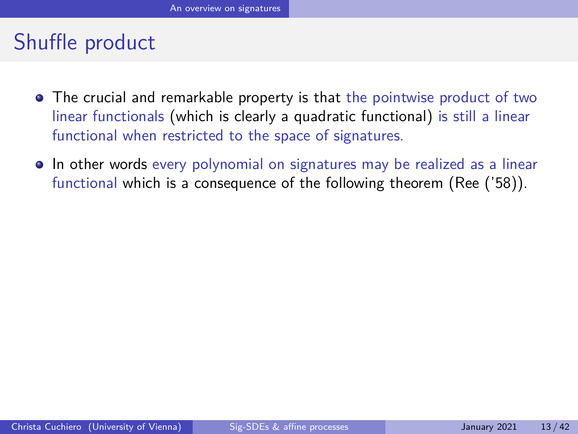# Shuffle product

- The crucial and remarkable property is that the pointwise product of two linear functionals (which is clearly a quadratic functional) is still a linear functional when restricted to the space of signatures.
- In other words every polynomial on signatures may be realized as a linear functional which is a consequence of the following theorem (Ree ('58)).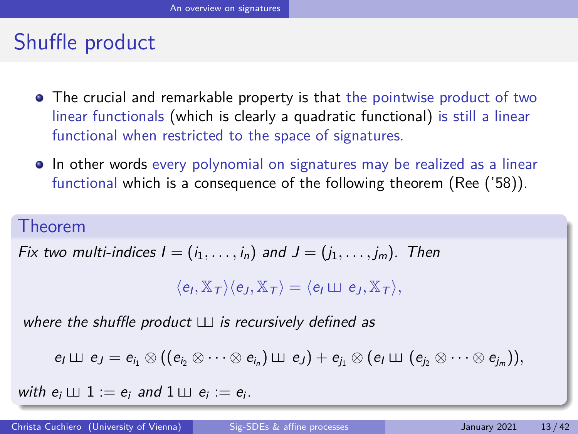# Shuffle product

- The crucial and remarkable property is that the pointwise product of two linear functionals (which is clearly a quadratic functional) is still a linear functional when restricted to the space of signatures.
- In other words every polynomial on signatures may be realized as a linear functional which is a consequence of the following theorem (Ree ('58)).

#### Theorem

Fix two multi-indices 
$$
I = (i_1, \ldots, i_n)
$$
 and  $J = (j_1, \ldots, j_m)$ . Then

 $\langle e_I, \mathbb{X}_\mathcal{T} \rangle \langle e_J, \mathbb{X}_\mathcal{T} \rangle = \langle e_I \sqcup \negthinspace \sqcup \negthinspace e_J, \mathbb{X}_\mathcal{T} \rangle,$ 

where the shuffle product  $\Box$  is recursively defined as

$$
e_I\sqcup\!\!\!\perp e_J=e_{i_1}\otimes((e_{i_2}\otimes\cdots\otimes e_{i_n})\sqcup\!\!\!\perp e_J)+e_{j_1}\otimes(e_I\sqcup\!\!\!\perp (e_{j_2}\otimes\cdots\otimes e_{j_m})),
$$

with  $e_i \sqcup 1 := e_i$  and  $1 \sqcup e_i := e_i$ .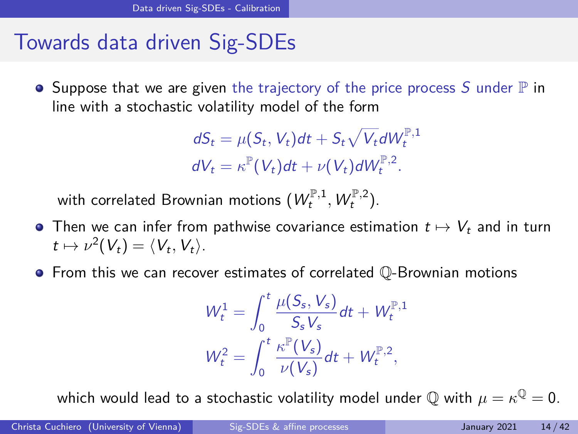### <span id="page-17-0"></span>Towards data driven Sig-SDEs

 $\bullet$  Suppose that we are given the trajectory of the price process S under  $\mathbb P$  in line with a stochastic volatility model of the form

$$
dS_t = \mu(S_t, V_t)dt + S_t\sqrt{V_t}dW_t^{\mathbb{P},1}
$$
  

$$
dV_t = \kappa^{\mathbb{P}}(V_t)dt + \nu(V_t)dW_t^{\mathbb{P},2}.
$$

with correlated Brownian motions  $(W_t^{\mathbb{P},1}, W_t^{\mathbb{P},2}).$ 

- Then we can infer from pathwise covariance estimation  $t \mapsto V_t$  and in turn  $t \mapsto \nu^2(V_t) = \langle V_t, V_t \rangle.$
- $\bullet$  From this we can recover estimates of correlated  $\mathbb{Q}$ -Brownian motions

$$
W_t^1 = \int_0^t \frac{\mu(S_s, V_s)}{S_s V_s} dt + W_t^{\mathbb{P},1}
$$

$$
W_t^2 = \int_0^t \frac{\kappa^{\mathbb{P}}(V_s)}{\nu(V_s)} dt + W_t^{\mathbb{P},2},
$$

which would lead to a stochastic volatility model under  $\mathbb Q$  with  $\mu=\kappa^{\mathbb Q}=0.$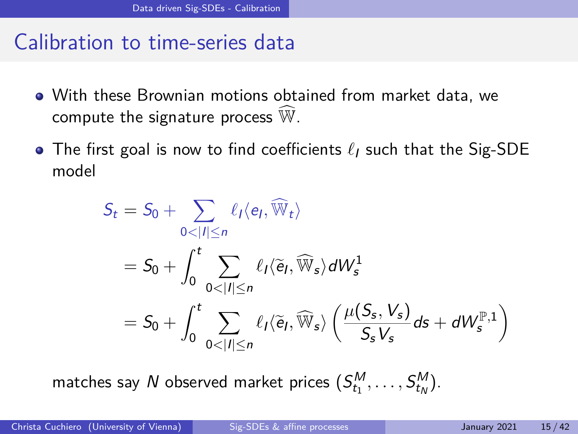#### Calibration to time-series data

- With these Brownian motions obtained from market data, we compute the signature process  $\widehat{\mathbb{W}}$ .
- The first goal is now to find coefficients  $\ell_1$  such that the Sig-SDE model

$$
S_t = S_0 + \sum_{0 < |I| \le n} \ell_I \langle e_I, \widehat{\mathbb{W}}_t \rangle
$$
\n
$$
= S_0 + \int_0^t \sum_{0 < |I| \le n} \ell_I \langle \widetilde{e}_I, \widehat{\mathbb{W}}_s \rangle dW_s^1
$$
\n
$$
= S_0 + \int_0^t \sum_{0 < |I| \le n} \ell_I \langle \widetilde{e}_I, \widehat{\mathbb{W}}_s \rangle \left( \frac{\mu(S_s, V_s)}{S_s V_s} ds + dW_s^{\mathbb{P},1} \right)
$$

matches say  $N$  observed market prices  $(S_{t_1}^M,\ldots, S_{t_N}^M).$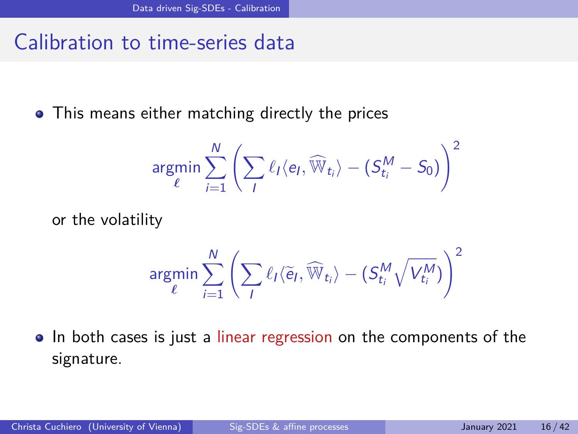#### Calibration to time-series data

• This means either matching directly the prices

$$
\mathop{\textnormal{argmin}}\limits_{\ell} \sum_{i=1}^{N}\left(\sum_{I}\ell_{I}\langle e_{I},\widehat{\mathbb{W}}_{t_{i}}\rangle - (S_{t_{i}}^{M}-S_{0})\right)^{2}
$$

or the volatility

$$
\mathop{\rm argmin}\sum_{\ell}^{N}\left(\sum_{I}\ell_{I}\langle\widetilde{\mathop{\mathrm{e}}\nolimits}_{I},\widehat{\mathbb{W}}_{t_{i}}\rangle-(S_{t_{i}}^{M}\sqrt{V_{t_{i}}^{M}})\right)^{2}
$$

• In both cases is just a linear regression on the components of the signature.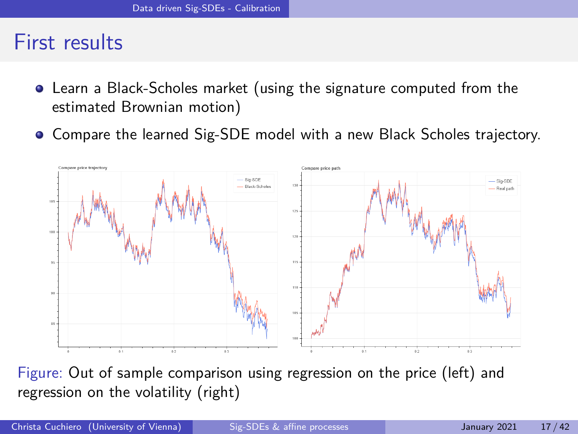#### First results

- Learn a Black-Scholes market (using the signature computed from the estimated Brownian motion)
- Compare the learned Sig-SDE model with a new Black Scholes trajectory.



Figure: Out of sample comparison using regression on the price (left) and regression on the volatility (right)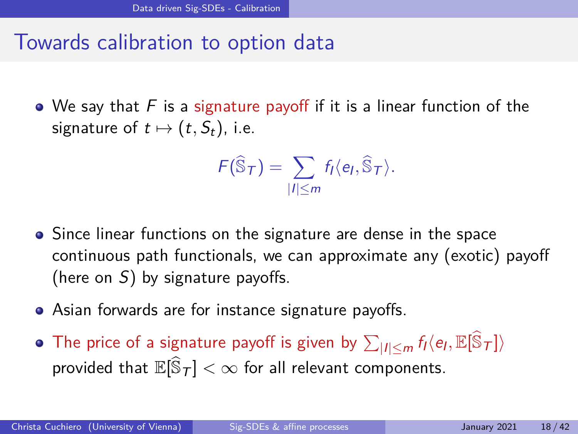#### Towards calibration to option data

 $\bullet$  We say that F is a signature payoff if it is a linear function of the signature of  $t \mapsto (t, S_t)$ , i.e.

$$
F(\widehat{\mathbb{S}}_{\mathcal{T}})=\sum_{|I|\leq m}f_I\langle e_I,\widehat{\mathbb{S}}_{\mathcal{T}}\rangle.
$$

- Since linear functions on the signature are dense in the space continuous path functionals, we can approximate any (exotic) payoff (here on  $S$ ) by signature payoffs.
- Asian forwards are for instance signature payoffs.
- The price of a signature payoff is given by  $\sum_{|I| \leq m} f_I \langle e_I, \mathbb{E}[\widehat{\mathbb{S}}_{\mathcal{T}}]\rangle$ provided that  $\mathbb{E}[\widehat{\mathbb{S}}_{\mathcal{T}}]<\infty$  for all relevant components.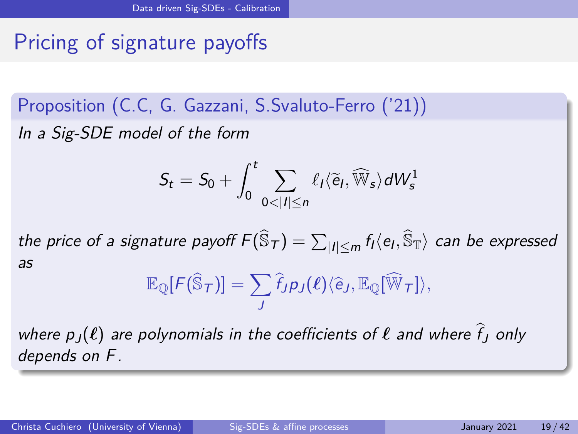# Pricing of signature payoffs

Proposition (C.C, G. Gazzani, S.Svaluto-Ferro ('21)) In a Sig-SDE model of the form

$$
S_t = S_0 + \int_0^t \sum_{0 < |I| \le n} \ell_I \langle \widetilde{e}_I, \widehat{\mathbb{W}}_s \rangle dW_s^1
$$

the price of a signature payoff  $F(\widehat{\mathbb{S}}_{\mathcal{T}})=\sum_{|I|\le m}f_I\langle e_I,\widehat{\mathbb{S}}_{\mathbb{T}}\rangle$  can be expressed as

$$
\mathbb{E}_{\mathbb{Q}}[F(\widehat{\mathbb{S}}_{\mathcal{T}})] = \sum_J \widehat{f}_J p_J(\boldsymbol{\ell}) \langle \widehat{e}_J, \mathbb{E}_{\mathbb{Q}}[\widehat{\mathbb{W}}_{\mathcal{T}}] \rangle,
$$

where  $p_J(\ell)$  are polynomials in the coefficients of  $\ell$  and where  $\hat{f}_I$  only depends on F.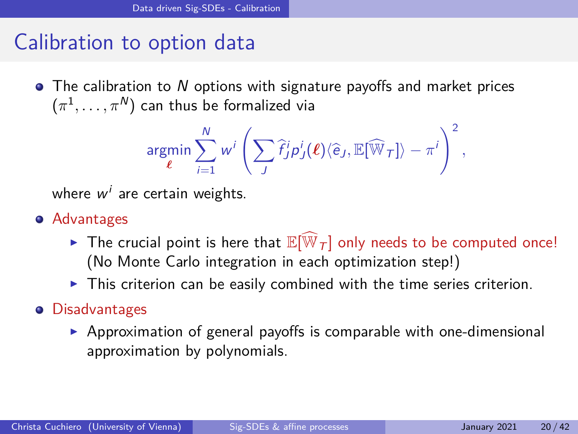### Calibration to option data

 $\bullet$  The calibration to N options with signature payoffs and market prices  $(\pi^1,\ldots,\pi^N)$  can thus be formalized via

$$
\underset{\boldsymbol{\ell}}{\text{argmin}} \sum_{i=1}^N w^i \left( \sum_J \widehat{f}_J^i p_J^i(\boldsymbol{\ell}) \langle \widehat{e}_J, \mathbb{E}[\widehat{\mathbb{W}}_T] \rangle - \pi^i \right)^2,
$$

where  $w^i$  are certain weights.

- **•** Advantages
	- Fine crucial point is here that  $\mathbb{E}[\widehat{\mathbb{W}}_T]$  only needs to be computed once! (No Monte Carlo integration in each optimization step!)
	- $\blacktriangleright$  This criterion can be easily combined with the time series criterion.

#### **•** Disadvantages

 $\triangleright$  Approximation of general payoffs is comparable with one-dimensional approximation by polynomials.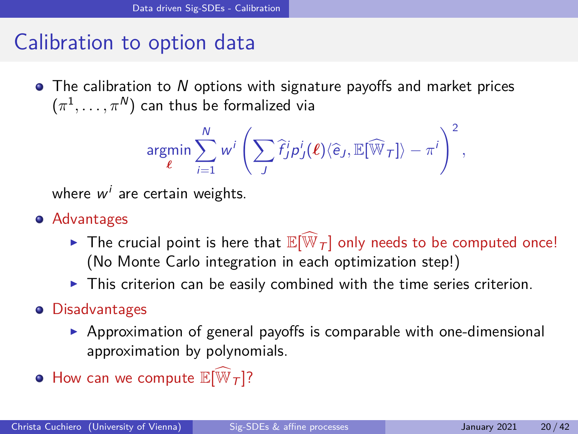### Calibration to option data

 $\bullet$  The calibration to N options with signature payoffs and market prices  $(\pi^1,\ldots,\pi^N)$  can thus be formalized via

$$
\underset{\boldsymbol{\ell}}{\text{argmin}} \sum_{i=1}^N w^i \left( \sum_J \widehat{f}_J^i p_J^i(\boldsymbol{\ell}) \langle \widehat{e}_J, \mathbb{E}[\widehat{\mathbb{W}}_T] \rangle - \pi^i \right)^2,
$$

where  $w^i$  are certain weights.

- **•** Advantages
	- Fine crucial point is here that  $\mathbb{E}[\widehat{\mathbb{W}}_T]$  only needs to be computed once! (No Monte Carlo integration in each optimization step!)
	- $\blacktriangleright$  This criterion can be easily combined with the time series criterion.

#### **•** Disadvantages

- $\triangleright$  Approximation of general payoffs is comparable with one-dimensional approximation by polynomials.
- $\bullet$  How can we compute  $\mathbb{E}[\widehat{\mathbb{W}}_T]$ ?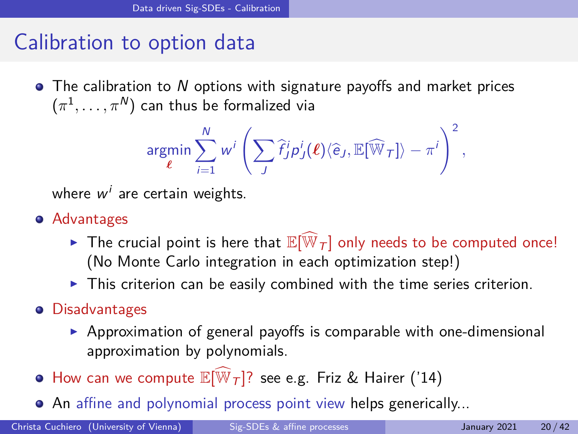### Calibration to option data

 $\bullet$  The calibration to N options with signature payoffs and market prices  $(\pi^1,\ldots,\pi^N)$  can thus be formalized via

$$
\underset{\boldsymbol{\ell}}{\text{argmin}} \sum_{i=1}^N w^i \left( \sum_J \widehat{f}_J^i p_J^i(\boldsymbol{\ell}) \langle \widehat{e}_J, \mathbb{E}[\widehat{\mathbb{W}}_T] \rangle - \pi^i \right)^2,
$$

where  $w^i$  are certain weights.

- **•** Advantages
	- Fine crucial point is here that  $\mathbb{E}[\widehat{\mathbb{W}}_T]$  only needs to be computed once! (No Monte Carlo integration in each optimization step!)
	- $\blacktriangleright$  This criterion can be easily combined with the time series criterion.
- **•** Disadvantages
	- $\triangleright$  Approximation of general payoffs is comparable with one-dimensional approximation by polynomials.
- $\bullet$  How can we compute  $\mathbb{E}[\overline{\mathbb{W}}_T]$ ? see e.g. Friz & Hairer ('14)
- An affine and polynomial process point view helps generically...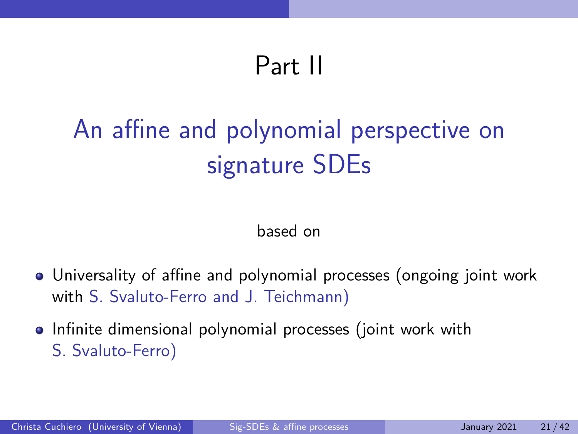# Part II

# <span id="page-26-0"></span>[An affine and polynomial perspective on](#page-26-0) [signature SDEs](#page-26-0)

#### based on

- Universality of affine and polynomial processes (ongoing joint work with S. Svaluto-Ferro and J. Teichmann)
- Infinite dimensional polynomial processes (joint work with S. Svaluto-Ferro)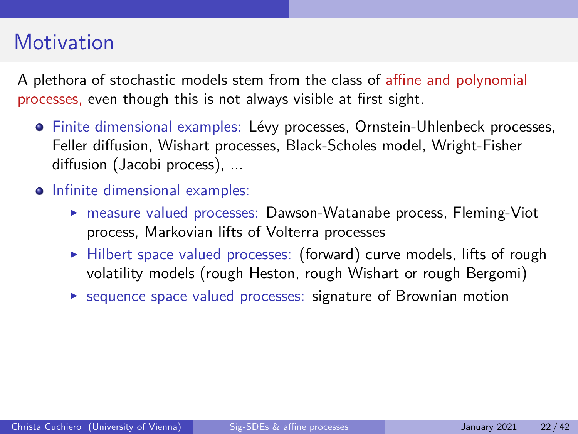### **Motivation**

A plethora of stochastic models stem from the class of affine and polynomial processes, even though this is not always visible at first sight.

- · Finite dimensional examples: Lévy processes, Ornstein-Uhlenbeck processes, Feller diffusion, Wishart processes, Black-Scholes model, Wright-Fisher diffusion (Jacobi process), ...
- Infinite dimensional examples:
	- **F** measure valued processes: Dawson-Watanabe process, Fleming-Viot process, Markovian lifts of Volterra processes
	- $\blacktriangleright$  Hilbert space valued processes: (forward) curve models, lifts of rough volatility models (rough Heston, rough Wishart or rough Bergomi)
	- $\triangleright$  sequence space valued processes: signature of Brownian motion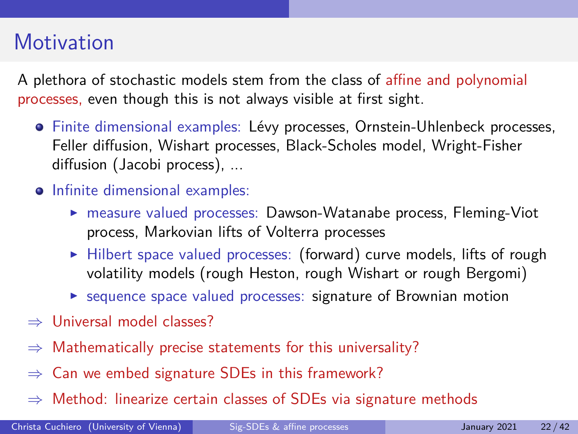## **Motivation**

A plethora of stochastic models stem from the class of affine and polynomial processes, even though this is not always visible at first sight.

- · Finite dimensional examples: Lévy processes, Ornstein-Uhlenbeck processes, Feller diffusion, Wishart processes, Black-Scholes model, Wright-Fisher diffusion (Jacobi process), ...
- Infinite dimensional examples:
	- **F** measure valued processes: Dawson-Watanabe process, Fleming-Viot process, Markovian lifts of Volterra processes
	- $\blacktriangleright$  Hilbert space valued processes: (forward) curve models, lifts of rough volatility models (rough Heston, rough Wishart or rough Bergomi)
	- $\triangleright$  sequence space valued processes: signature of Brownian motion
- ⇒ Universal model classes?
- $\Rightarrow$  Mathematically precise statements for this universality?
- ⇒ Can we embed signature SDEs in this framework?
- $\Rightarrow$  Method: linearize certain classes of SDEs via signature methods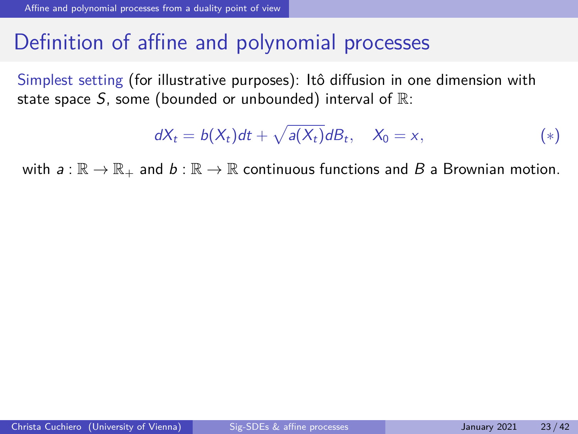#### <span id="page-29-0"></span>Definition of affine and polynomial processes

Simplest setting (for illustrative purposes): Itô diffusion in one dimension with state space  $S$ , some (bounded or unbounded) interval of  $\mathbb{R}$ :

<span id="page-29-1"></span>
$$
dX_t = b(X_t)dt + \sqrt{a(X_t)}dB_t, \quad X_0 = x,
$$
\n<sup>(\*)</sup>

with  $a: \mathbb{R} \to \mathbb{R}_+$  and  $b: \mathbb{R} \to \mathbb{R}$  continuous functions and B a Brownian motion.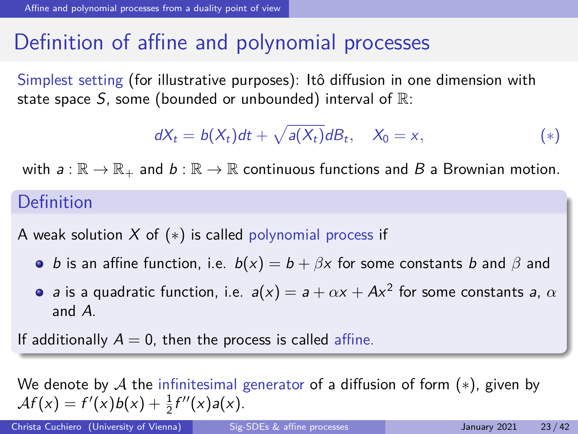#### Definition of affine and polynomial processes

Simplest setting (for illustrative purposes): Itô diffusion in one dimension with state space S, some (bounded or unbounded) interval of  $\mathbb{R}$ :

$$
dX_t = b(X_t)dt + \sqrt{a(X_t)}dB_t, \quad X_0 = x,
$$
\n<sup>(\*)</sup>

with  $a: \mathbb{R} \to \mathbb{R}_+$  and  $b: \mathbb{R} \to \mathbb{R}$  continuous functions and B a Brownian motion.

#### Definition

A weak solution X of  $(*)$  is called polynomial process if

- **o** *b* is an affine function, i.e.  $b(x) = b + \beta x$  for some constants *b* and  $\beta$  and
- a is a quadratic function, i.e.  $a(x) = a + \alpha x + A x^2$  for some constants a,  $\alpha$ and A.

If additionally  $A = 0$ , then the process is called affine.

We denote by A the infinitesimal generator of a diffusion of form  $(*)$ , given by  $\mathcal{A}f(x) = f'(x)b(x) + \frac{1}{2}f''(x)a(x).$ 

Christa Cuchiero (University of Vienna) [Sig-SDEs & affine processes](#page-0-0) January 2021 23/42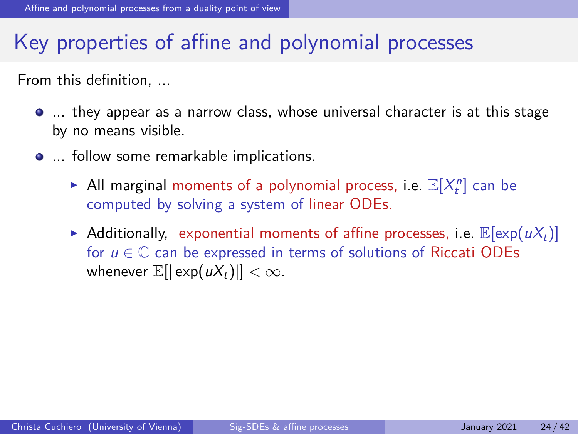### Key properties of affine and polynomial processes

From this definition, ...

- ... they appear as a narrow class, whose universal character is at this stage by no means visible.
- **...** follow some remarkable implications.
	- All marginal moments of a polynomial process, i.e.  $\mathbb{E}[X_t^n]$  can be computed by solving a system of linear ODEs.
	- Additionally, exponential moments of affine processes, i.e.  $\mathbb{E}[\exp(uX_t)]$ for  $u \in \mathbb{C}$  can be expressed in terms of solutions of Riccati ODEs whenever  $\mathbb{E}[|\exp(uX_t)|] < \infty$ .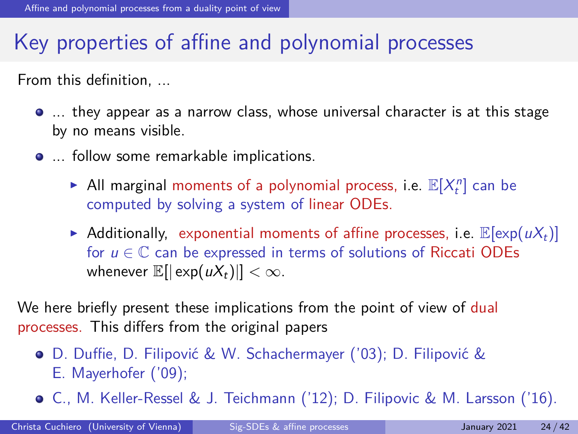### Key properties of affine and polynomial processes

From this definition, ...

- ... they appear as a narrow class, whose universal character is at this stage by no means visible.
- **...** follow some remarkable implications.
	- All marginal moments of a polynomial process, i.e.  $\mathbb{E}[X_t^n]$  can be computed by solving a system of linear ODEs.
	- Additionally, exponential moments of affine processes, i.e.  $\mathbb{E}[\exp(uX_t)]$ for  $u \in \mathbb{C}$  can be expressed in terms of solutions of Riccati ODEs whenever  $\mathbb{E}[|\exp(uX_t)||] < \infty$ .

We here briefly present these implications from the point of view of dual processes. This differs from the original papers

- **•** D. Duffie, D. Filipović & W. Schachermayer ('03); D. Filipović & E. Mayerhofer ('09);
- C., M. Keller-Ressel & J. Teichmann ('12); D. Filipovic & M. Larsson ('16).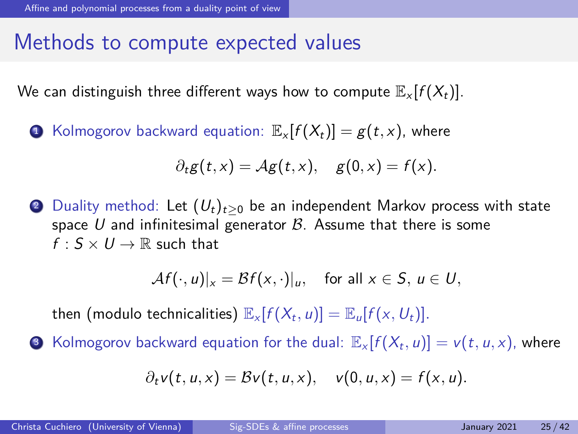### Methods to compute expected values

We can distinguish three different ways how to compute  $\mathbb{E}_{x}[f(X_t)].$ 

**1** Kolmogorov backward equation:  $\mathbb{E}_x[f(X_t)] = g(t, x)$ , where

$$
\partial_t g(t,x) = \mathcal{A}g(t,x), \quad g(0,x) = f(x).
$$

2 Duality method: Let  $(U_t)_{t>0}$  be an independent Markov process with state space U and infinitesimal generator  $\beta$ . Assume that there is some  $f: S \times U \rightarrow \mathbb{R}$  such that

$$
\mathcal{A}f(\cdot,u)|_{x} = \mathcal{B}f(x,\cdot)|_{u}, \quad \text{for all } x \in S, u \in U,
$$

then (modulo technicalities)  $\mathbb{E}_x[f(X_t, u)] = \mathbb{E}_u[f(x, U_t)].$ 

 $\bullet$  Kolmogorov backward equation for the dual:  $\mathbb{E}_x[f(X_t,u)]=v(t,u,x)$ , where

$$
\partial_t v(t, u, x) = Bv(t, u, x), \quad v(0, u, x) = f(x, u).
$$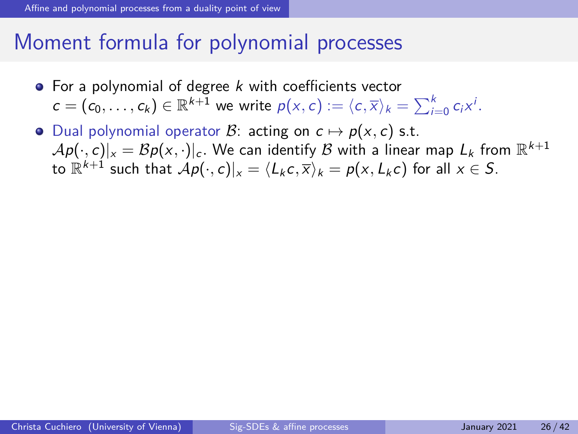#### Moment formula for polynomial processes

- $\bullet$  For a polynomial of degree k with coefficients vector  $c = (c_0, \ldots, c_k) \in \mathbb{R}^{k+1}$  we write  $p(x, c) := \langle c, \overline{x} \rangle_k = \sum_{i=0}^k c_i x^i$ .
- Dual polynomial operator B: acting on  $c \mapsto p(x, c)$  s.t.  $\mathcal{A} \rho(\cdot, c)|_{\times}=\mathcal{B} \rho(\times, \cdot)|_c.$  We can identify  $\mathcal B$  with a linear map  $L_k$  from  $\mathbb R^{k+1}$ to  $\mathbb{R}^{k+1}$  such that  $\mathcal{A}p(\cdot,c)|_{x} = \langle L_{k} c, \overline{x} \rangle_{k} = p(x,L_{k} c)$  for all  $x \in S.$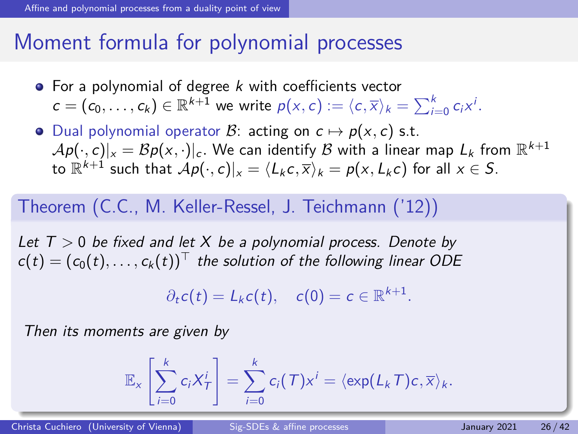#### Moment formula for polynomial processes

- $\bullet$  For a polynomial of degree k with coefficients vector  $c = (c_0, \ldots, c_k) \in \mathbb{R}^{k+1}$  we write  $p(x, c) := \langle c, \overline{x} \rangle_k = \sum_{i=0}^k c_i x^i$ .
- Dual polynomial operator B: acting on  $c \mapsto p(x, c)$  s.t.  $\mathcal{A} \rho(\cdot, c)|_{\times}=\mathcal{B} \rho(\times, \cdot)|_c.$  We can identify  $\mathcal B$  with a linear map  $L_k$  from  $\mathbb R^{k+1}$ to  $\mathbb{R}^{k+1}$  such that  $\mathcal{A}p(\cdot,c)|_{x} = \langle L_{k} c, \overline{x} \rangle_{k} = p(x,L_{k} c)$  for all  $x \in S.$

#### Theorem (C.C., M. Keller-Ressel, J. Teichmann ('12))

Let T *>* 0 be fixed and let X be a polynomial process. Denote by  $c(t) = (c_0(t), \ldots, c_k(t))^T$  the solution of the following linear ODE

$$
\partial_t c(t) = L_k c(t), \quad c(0) = c \in \mathbb{R}^{k+1}.
$$

Then its moments are given by

$$
\mathbb{E}_x\left[\sum_{i=0}^k c_i X^i_T\right] = \sum_{i=0}^k c_i(T) x^i = \langle \exp(L_k T) c, \overline{x} \rangle_k.
$$

Christa Cuchiero (University of Vienna) [Sig-SDEs & affine processes](#page-0-0) January 2021 26/42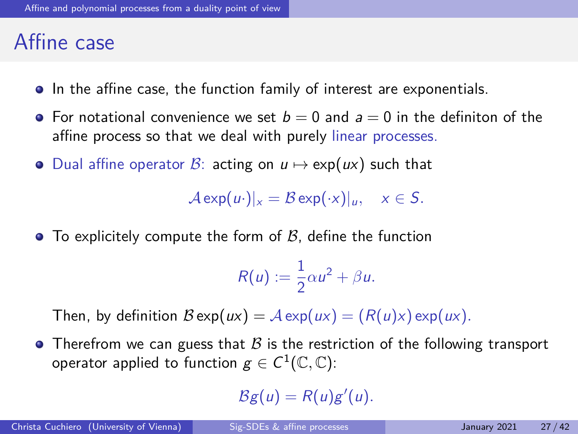#### Affine case

- **•** In the affine case, the function family of interest are exponentials.
- For notational convenience we set  $b = 0$  and  $a = 0$  in the definiton of the affine process so that we deal with purely linear processes.
- Dual affine operator B: acting on  $u \mapsto \exp(ux)$  such that

 $\mathcal{A} \exp(u \cdot)|_{x} = \mathcal{B} \exp(\cdot x)|_{u}, \quad x \in S.$ 

 $\bullet$  To explicitely compute the form of  $\beta$ , define the function

$$
R(u):=\frac{1}{2}\alpha u^2+\beta u.
$$

Then, by definition  $\mathcal{B} \exp(ux) = \mathcal{A} \exp(ux) = (R(u)x) \exp(ux)$ .

• Therefrom we can guess that  $\mathcal B$  is the restriction of the following transport operator applied to function  $g\in C^1(\mathbb C,\mathbb C)$ :

 $Bg(u) = R(u)g'(u).$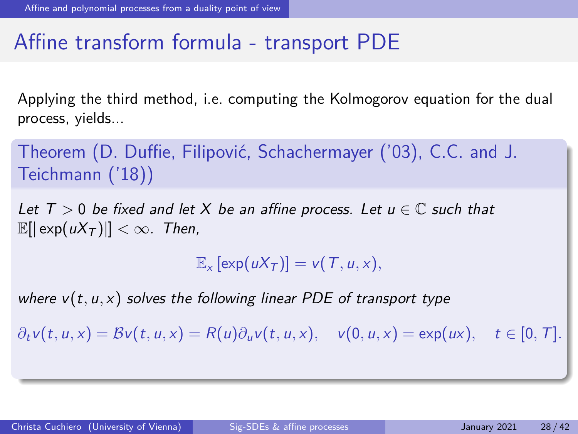### Affine transform formula - transport PDE

Applying the third method, i.e. computing the Kolmogorov equation for the dual process, yields...

Theorem (D. Duffie, Filipović, Schachermayer ('03), C.C. and J. Teichmann ('18))

Let  $T > 0$  be fixed and let X be an affine process. Let  $u \in \mathbb{C}$  such that  $\mathbb{E}[|\exp(uX_T)|| < \infty$ . Then,

 $\mathbb{E}_x$  [exp( $uX_T$ )] =  $v(T, u, x)$ ,

where  $v(t, u, x)$  solves the following linear PDE of transport type

 $\partial_t v(t, u, x) = \mathcal{B}v(t, u, x) = R(u)\partial_u v(t, u, x), \quad v(0, u, x) = \exp(ux), \quad t \in [0, T].$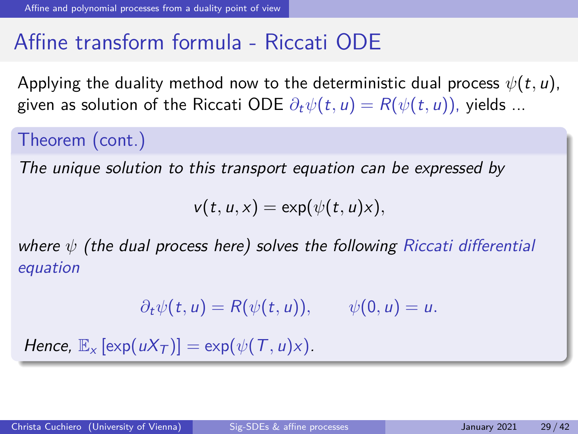## Affine transform formula - Riccati ODE

Applying the duality method now to the deterministic dual process  $\psi(t, u)$ , given as solution of the Riccati ODE  $\partial_t \psi(t, u) = R(\psi(t, u))$ , yields ...

Theorem (cont.)

The unique solution to this transport equation can be expressed by

 $v(t, u, x) = \exp(\psi(t, u)x),$ 

where *ψ* (the dual process here) solves the following Riccati differential equation

 $\partial_t \psi(t, u) = R(\psi(t, u)), \quad \psi(0, u) = u.$ 

Hence,  $\mathbb{E}_x$  [exp( $uX_T$ )] = exp( $\psi(T, u)x$ ).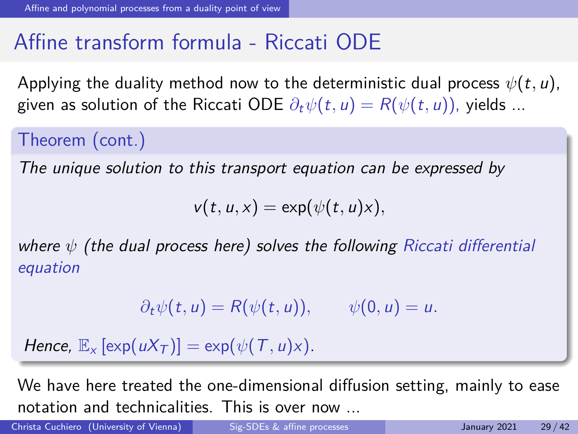### Affine transform formula - Riccati ODE

Applying the duality method now to the deterministic dual process  $\psi(t, u)$ , given as solution of the Riccati ODE  $\partial_t \psi(t, u) = R(\psi(t, u))$ , yields ...

Theorem (cont.)

The unique solution to this transport equation can be expressed by

 $v(t, u, x) = \exp(\psi(t, u)x),$ 

where *ψ* (the dual process here) solves the following Riccati differential equation

 $\partial_t \psi(t, u) = R(\psi(t, u)), \quad \psi(0, u) = u.$ 

Hence,  $\mathbb{E}_x$  [exp( $uX_T$ )] = exp( $\psi(T, u)x$ ).

We have here treated the one-dimensional diffusion setting, mainly to ease notation and technicalities. This is over now ...

Christa Cuchiero (University of Vienna) [Sig-SDEs & affine processes](#page-0-0) January 2021 29/42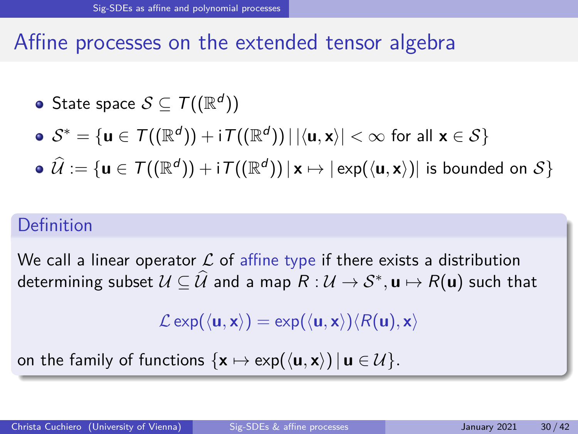### <span id="page-40-0"></span>Affine processes on the extended tensor algebra

State space  $\mathcal{S} \subseteq \mathcal{T}((\mathbb{R}^d))$ 

$$
\bullet \ \mathcal{S}^* = \{u \in \mathcal{T}((\mathbb{R}^d)) + \textrm{i}\, \mathcal{T}((\mathbb{R}^d)) \,|\, |\langle u, x \rangle| < \infty \textrm{ for all } x \in \mathcal{S}\}
$$

 $\widehat{\mathcal{U}} := \{ \mathbf{u} \in \mathcal{T}((\mathbb{R}^d)) + \mathsf{i}\, \mathcal{T}((\mathbb{R}^d)) \, | \, \mathbf{x} \mapsto |\, \mathsf{exp}(\langle \mathbf{u}, \mathbf{x} \rangle)| \, \, \text{is bounded on} \, \, \mathcal{S} \}$ 

#### Definition

We call a linear operator  $\mathcal L$  of affine type if there exists a distribution  $\mathsf{d}$ etermining subset  $\mathcal{U} \subseteq \widehat{\mathcal{U}}$  and a map  $R : \mathcal{U} \to \mathcal{S}^*,$   $\mathsf{u} \mapsto R(\mathsf{u})$  such that

 $\mathcal{L}$  exp( $\langle$ **u***,* **x** $\rangle$ ) = exp( $\langle$ **u***,* **x** $\rangle$ ) $\langle$  $R$ (**u**)*,* **x** $\rangle$ 

on the family of functions  $\{x \mapsto \exp(\langle \mathbf{u}, \mathbf{x} \rangle) | \mathbf{u} \in \mathcal{U}\}.$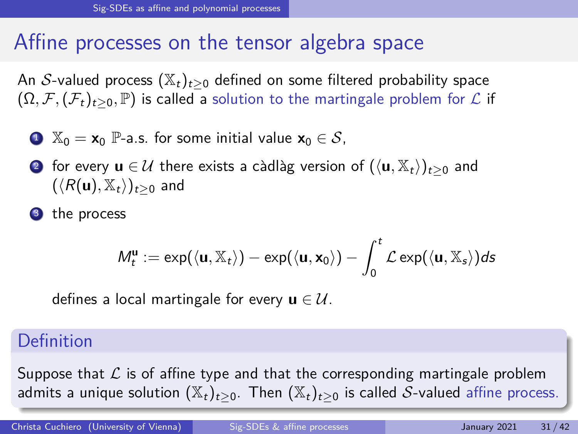### Affine processes on the tensor algebra space

An S-valued process  $(\mathbb{X}_t)_{t>0}$  defined on some filtered probability space  $(\Omega, \mathcal{F}, (\mathcal{F}_t)_{t>0}, \mathbb{P})$  is called a solution to the martingale problem for  $\mathcal{L}$  if

- $\bullet \mathbb{X}_0 = \mathbf{x}_0$  P-a.s. for some initial value  $\mathbf{x}_0 \in \mathcal{S}$ ,
- 2 for every  $\mathbf{u} \in \mathcal{U}$  there exists a càdlàg version of  $(\langle \mathbf{u}, \mathbb{X}_t \rangle)_{t>0}$  and  $(\langle R(\mathbf{u}), \mathbb{X}_t \rangle)_{t>0}$  and
- <sup>3</sup> the process

$$
M_t^{\mathbf{u}} := \exp(\langle \mathbf{u}, \mathbb{X}_t \rangle) - \exp(\langle \mathbf{u}, \mathbf{x}_0 \rangle) - \int_0^t \mathcal{L} \exp(\langle \mathbf{u}, \mathbb{X}_s \rangle) ds
$$

defines a local martingale for every  $\mathbf{u} \in \mathcal{U}$ .

#### Definition

Suppose that  $\mathcal L$  is of affine type and that the corresponding martingale problem admits a unique solution  $(\mathbb{X}_t)_{t>0}$ . Then  $(\mathbb{X}_t)_{t>0}$  is called S-valued affine process.

Christa Cuchiero (University of Vienna) [Sig-SDEs & affine processes](#page-0-0) January 2021 31/42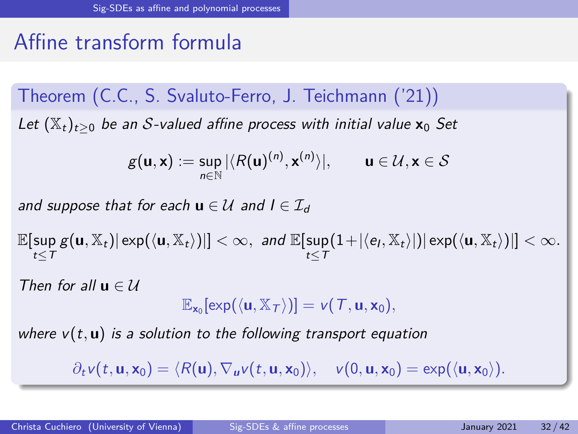# Affine transform formula

Theorem (C.C., S. Svaluto-Ferro, J. Teichmann ('21)) Let  $(\mathbb{X}_t)_{t>0}$  be an S-valued affine process with initial value  $\mathbf{x}_0$  Set

$$
g(\mathbf{u}, \mathbf{x}) := \sup_{n \in \mathbb{N}} |\langle R(\mathbf{u})^{(n)}, \mathbf{x}^{(n)} \rangle|, \qquad \mathbf{u} \in \mathcal{U}, \mathbf{x} \in \mathcal{S}
$$

and suppose that for each  $\mathbf{u} \in \mathcal{U}$  and  $I \in \mathcal{I}_d$ 

 $\mathbb{E}[\sup g(\mathbf{u}, \mathbb{X}_t)| \exp(\langle \mathbf{u}, \mathbb{X}_t \rangle)]| < \infty$ , and  $\mathbb{E}[\sup (1 + |\langle e_l, \mathbb{X}_t \rangle|) | \exp(\langle \mathbf{u}, \mathbb{X}_t \rangle)]| < \infty$ .  $t < T$  $t\leq 7$ 

Then for all  $\mathbf{u} \in \mathcal{U}$ 

$$
\mathbb{E}_{\mathbf{x}_0}[\exp(\langle \mathbf{u}, \mathbb{X}_T \rangle)] = \nu(\mathcal{T}, \mathbf{u}, \mathbf{x}_0),
$$

where  $v(t, u)$  is a solution to the following transport equation

 $\partial_t v(t, \mathbf{u}, \mathbf{x}_0) = \langle R(\mathbf{u}), \nabla_{\mathbf{u}} v(t, \mathbf{u}, \mathbf{x}_0) \rangle, \quad v(0, \mathbf{u}, \mathbf{x}_0) = \exp(\langle \mathbf{u}, \mathbf{x}_0 \rangle).$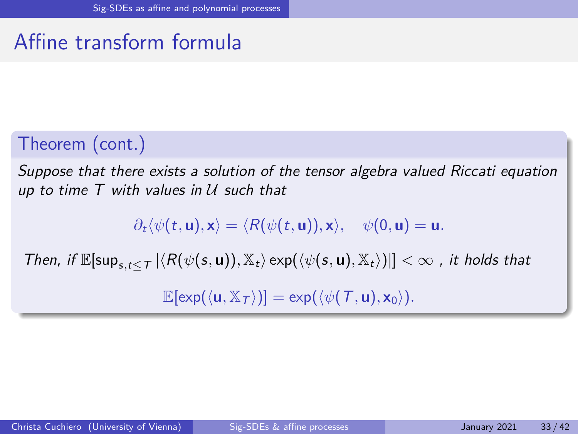# Affine transform formula

#### Theorem (cont.)

Suppose that there exists a solution of the tensor algebra valued Riccati equation up to time  $T$  with values in  $U$  such that

 $\partial_t \langle \psi(t, \mathbf{u}), \mathbf{x} \rangle = \langle R(\psi(t, \mathbf{u})), \mathbf{x} \rangle, \quad \psi(0, \mathbf{u}) = \mathbf{u}.$ 

Then, if  $\mathbb{E}[\sup_{s,t\leq T}|\langle R(\psi(s,\mathbf{u})), \mathbb{X}_t\rangle \exp(\langle \psi(s,\mathbf{u}), \mathbb{X}_t\rangle)|]<\infty$ , it holds that

 $\mathbb{E}[\exp(\langle \mathbf{u}, \mathbb{X}_{\tau} \rangle)] = \exp(\langle \psi(T, \mathbf{u}), \mathbf{x}_0 \rangle).$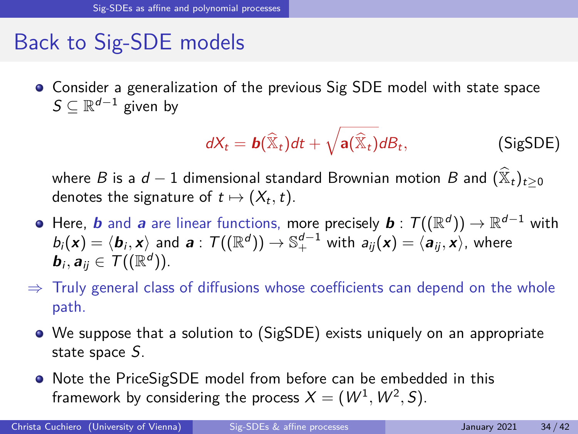### Back to Sig-SDE models

Consider a generalization of the previous Sig SDE model with state space  $\mathcal{S} \subseteq \mathbb{R}^{d-1}$  given by

<span id="page-44-0"></span>
$$
dX_t = \mathbf{b}(\widehat{\mathbb{X}}_t)dt + \sqrt{\mathbf{a}(\widehat{\mathbb{X}}_t)}dB_t,
$$
 (SigSDE)

where B is a  $d-1$  dimensional standard Brownian motion B and  $(\mathbb{X}_t)_{t\geq0}$ denotes the signature of  $t\mapsto (X_t,t).$ 

- Here,  $\bm{b}$  and  $\bm{a}$  are linear functions, more precisely  $\bm{b}$  :  $\mathcal{T}((\mathbb{R}^d))\to\mathbb{R}^{d-1}$  with  $b_i(\bm{x}) = \langle \bm{b}_i, \bm{x} \rangle$  and  $\bm{a}$  :  $\mathcal{T}((\mathbb{R}^d)) \to \mathbb{S}^{d-1}_+$  with  $a_{ij}(\bm{x}) = \langle \bm{a}_{ij}, \bm{x} \rangle$ , where  $\bm{b}_i, \bm{a}_{ij} \in \mathcal{T}((\mathbb{R}^d)).$
- $\Rightarrow$  Truly general class of diffusions whose coefficients can depend on the whole path.
	- We suppose that a solution to [\(SigSDE\)](#page-44-0) exists uniquely on an appropriate state space S.
	- Note the PriceSigSDE model from before can be embedded in this framework by considering the process  $X = (W^1, W^2, S)$ .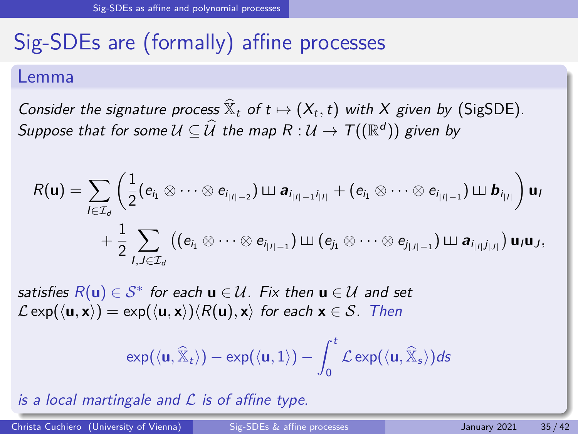# Sig-SDEs are (formally) affine processes

#### Lemma

Consider the signature process  $\widehat{\mathbb{X}}_t$  of  $t \mapsto (X_t, t)$  with X given by [\(SigSDE\)](#page-44-0). Suppose that for some  $\mathcal{U} \subseteq \widehat{\mathcal{U}}$  the map  $R : \mathcal{U} \to \mathcal{T}((\mathbb{R}^d))$  given by

$$
R(\mathbf{u}) = \sum_{I \in \mathcal{I}_d} \left( \frac{1}{2} (e_{i_1} \otimes \cdots \otimes e_{i_{|I|-2}}) \sqcup a_{i_{|I|-1}i_{|I|}} + (e_{i_1} \otimes \cdots \otimes e_{i_{|I|-1}}) \sqcup b_{i_{|I|}} \right) \mathbf{u}_I
$$
  
+ 
$$
\frac{1}{2} \sum_{I,J \in \mathcal{I}_d} \left( (e_{i_1} \otimes \cdots \otimes e_{i_{|I|-1}}) \sqcup (e_{j_1} \otimes \cdots \otimes e_{j_{|J|-1}}) \sqcup a_{i_{|I|}j_{|J|}} \right) \mathbf{u}_I \mathbf{u}_J,
$$

satisfies  $R(\mathbf{u}) \in \mathcal{S}^*$  for each  $\mathbf{u} \in \mathcal{U}$ . Fix then  $\mathbf{u} \in \mathcal{U}$  and set  $\mathcal{L}$  exp( $\langle$ **u***,* **x** $\rangle$ ) = exp( $\langle$ **u***,* **x** $\rangle$ ) $\langle$ R(**u**)*,* **x** $\rangle$  for each **x**  $\in$  *S*. Then

$$
\exp(\langle {\bf u}, \widehat{\mathbb{X}}_t \rangle) - \exp(\langle {\bf u}, 1 \rangle) - \int_0^t \mathcal{L} \exp(\langle {\bf u}, \widehat{\mathbb{X}}_s \rangle) ds
$$

is a local martingale and  $\mathcal L$  is of affine type.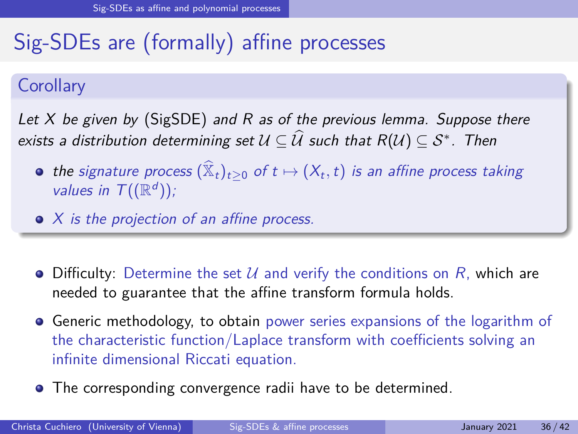# Sig-SDEs are (formally) affine processes

#### **Corollary**

Let  $X$  be given by [\(SigSDE\)](#page-44-0) and R as of the previous lemma. Suppose there exists a distribution determining set  $\mathcal{U} \subseteq \mathcal{\hat{U}}$  such that  $R(\mathcal{U}) \subseteq \mathcal{S}^{*}$ . Then

- the signature process  $(\mathbb{\hat{X}}_t)_{t\geq 0}$  of  $t \mapsto (X_t, t)$  is an affine process taking values in  $\mathcal{T}((\mathbb{R}^d))$ ;
- $\bullet$  X is the projection of an affine process.
- $\bullet$  Difficulty: Determine the set U and verify the conditions on R, which are needed to guarantee that the affine transform formula holds.
- Generic methodology, to obtain power series expansions of the logarithm of the characteristic function/Laplace transform with coefficients solving an infinite dimensional Riccati equation.
- The corresponding convergence radii have to be determined.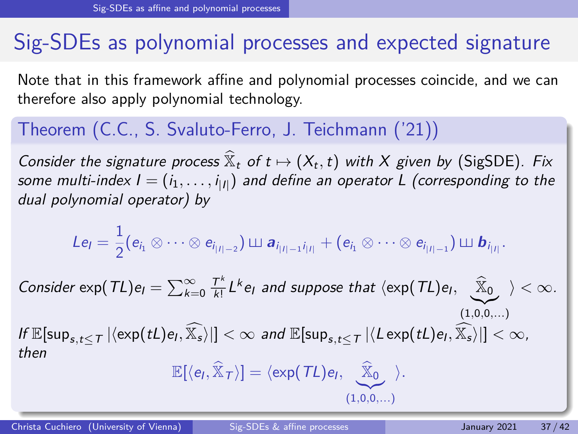## Sig-SDEs as polynomial processes and expected signature

Note that in this framework affine and polynomial processes coincide, and we can therefore also apply polynomial technology.

#### Theorem (C.C., S. Svaluto-Ferro, J. Teichmann ('21))

Consider the signature process  $\widehat{X}_t$  of  $t \mapsto (X_t, t)$  with X given by [\(SigSDE\)](#page-44-0). Fix some multi-index **I**  $=(i_1,\ldots,i_{|I|})$  and define an operator **L** (corresponding to the dual polynomial operator) by

$$
Le_l=\frac{1}{2}(e_{i_1}\otimes\cdots\otimes e_{i_{|I|-2}})\sqcup \boldsymbol{a}_{i_{|I|-1}i_{|I|}}+(e_{i_1}\otimes\cdots\otimes e_{i_{|I|-1}})\sqcup \boldsymbol{b}_{i_{|I|}}.
$$

Consider  $\exp(TL)e_i = \sum_{k=0}^{\infty} \frac{T^k}{k!}$  $\frac{T^k}{k!} L^k e_l$  and suppose that  $\langle \exp(TL) e_l, \quad \widehat{\mathbb{X}}_0 \rangle < \infty$ .  $(1,0,0,...)$  $\inf \mathbb{E}[\sup_{s,t\leq T}|\langle \exp(tL)e_{t},\widehat{\mathbb{X}_s}\rangle|]<\infty$  and  $\mathbb{E}[\sup_{s,t\leq T}|\langle L\exp(tL)e_{t},\widehat{\mathbb{X}_s}\rangle|]<\infty$ , then

$$
\mathbb{E}[\langle e_l, \widehat{\mathbb{X}}_{\mathcal{T}}\rangle] = \langle \exp(\mathcal{T}L)e_l, \underbrace{\widehat{\mathbb{X}}_0}_{(1,0,0,...)}\rangle.
$$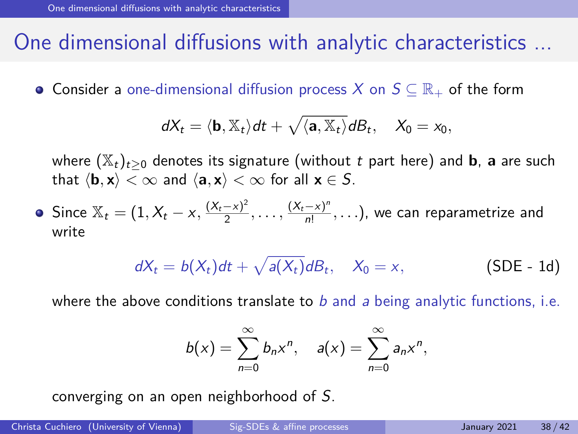### <span id="page-48-0"></span>One dimensional diffusions with analytic characteristics ...

• Consider a one-dimensional diffusion process X on  $S \subseteq \mathbb{R}_+$  of the form

$$
dX_t = \langle \mathbf{b}, \mathbb{X}_t \rangle dt + \sqrt{\langle \mathbf{a}, \mathbb{X}_t \rangle} dB_t, \quad X_0 = x_0,
$$

where  $(\mathbb{X}_t)_{t>0}$  denotes its signature (without t part here) and **b**, **a** are such that  $\langle \mathbf{b}, \mathbf{x} \rangle < \infty$  and  $\langle \mathbf{a}, \mathbf{x} \rangle < \infty$  for all  $\mathbf{x} \in S$ .

Since  $\mathbb{X}_{t} = (1, X_{t} - x, \frac{(X_{t} - x)^{2}}{2})$  $\frac{(x_t - x)^2}{2}, \ldots, \frac{(X_t - x)^n}{n!}$  $\frac{-x_j}{n!}$ ,...), we can reparametrize and write

<span id="page-48-1"></span>
$$
dX_t = b(X_t)dt + \sqrt{a(X_t)}dB_t, \quad X_0 = x,
$$
 (SDE - 1d)

where the above conditions translate to  $b$  and a being analytic functions, i.e.

$$
b(x)=\sum_{n=0}^{\infty}b_nx^n, \quad a(x)=\sum_{n=0}^{\infty}a_nx^n,
$$

converging on an open neighborhood of S.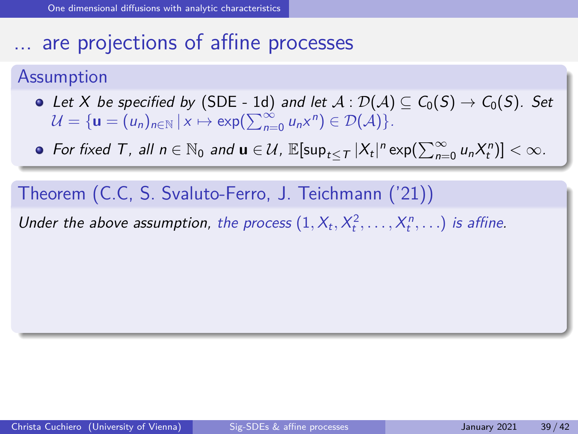### ... are projections of affine processes

#### Assumption

- Let X be specified by [\(SDE 1d\)](#page-48-1) and let  $A: \mathcal{D}(A) \subseteq C_0(S) \to C_0(S)$ . Set  $\mathcal{U} = {\mathbf{u} = (u_n)_{n \in \mathbb{N}} | x \mapsto \exp(\sum_{n=0}^{\infty} u_n x^n) \in \mathcal{D(A)}}$ .
- For fixed T, all  $n \in \mathbb{N}_0$  and  $\mathbf{u} \in \mathcal{U}$ ,  $\mathbb{E}[\sup_{t \leq T} |X_t|^n \exp(\sum_{n=0}^{\infty} u_n X_t^n)] < \infty$ .

Theorem (C.C, S. Svaluto-Ferro, J. Teichmann ('21))

Under the above assumption, the process  $(1, X_t, X_t^2, \ldots, X_t^n, \ldots)$  is affine.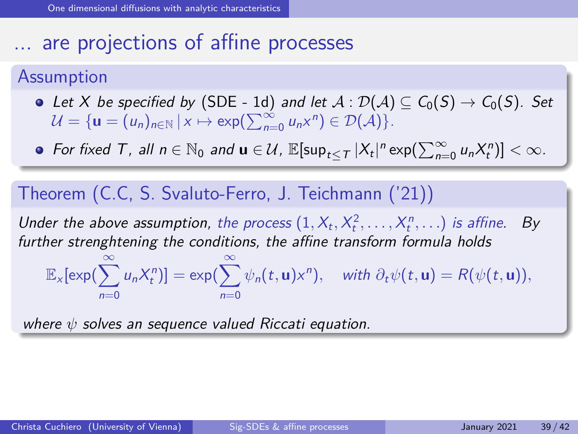## ... are projections of affine processes

#### Assumption

- Let X be specified by [\(SDE 1d\)](#page-48-1) and let  $A: \mathcal{D}(A) \subseteq C_0(S) \to C_0(S)$ . Set  $\mathcal{U} = {\mathbf{u} = (u_n)_{n \in \mathbb{N}} | x \mapsto \exp(\sum_{n=0}^{\infty} u_n x^n) \in \mathcal{D(A)}}$ .
- For fixed T, all  $n \in \mathbb{N}_0$  and  $\mathbf{u} \in \mathcal{U}$ ,  $\mathbb{E}[\sup_{t \leq T} |X_t|^n \exp(\sum_{n=0}^{\infty} u_n X_t^n)] < \infty$ .

#### Theorem (C.C, S. Svaluto-Ferro, J. Teichmann ('21))

Under the above assumption, the process  $(1, X_t, X_t^2, \ldots, X_t^n, \ldots)$  is affine. By further strenghtening the conditions, the affine transform formula holds

 $\mathbb{E}_{\mathsf{x}}[\mathsf{exp}(\sum^{\infty}_{ }% \widehat{w}\mathsf{log}(\mathsf{x})\mathsf{log}(\mathsf{x})\mathsf{log}(\mathsf{x})\mathsf{log}(\mathsf{x})\mathsf{log}(\mathsf{x})\mathsf{log}(\mathsf{x})\mathsf{log}(\mathsf{x})\mathsf{log}(\mathsf{x})\mathsf{log}(\mathsf{x})\mathsf{log}(\mathsf{x})\mathsf{log}(\mathsf{x})\mathsf{log}(\mathsf{x})\mathsf{log}(\mathsf{x})\mathsf{log}(\mathsf{x})\mathsf{log}(\mathsf{x})\mathsf{log}(\mathsf{x})\mathsf{log}(\mathsf{x})\math$  $n=0$  $[u_n X_t^n]$ ] = exp( $\sum_{n=1}^{\infty}$  $n=0$  $\psi_n(t, \mathbf{u}) \times^n$ ), with  $\partial_t \psi(t, \mathbf{u}) = R(\psi(t, \mathbf{u})),$ 

where *ψ* solves an sequence valued Riccati equation.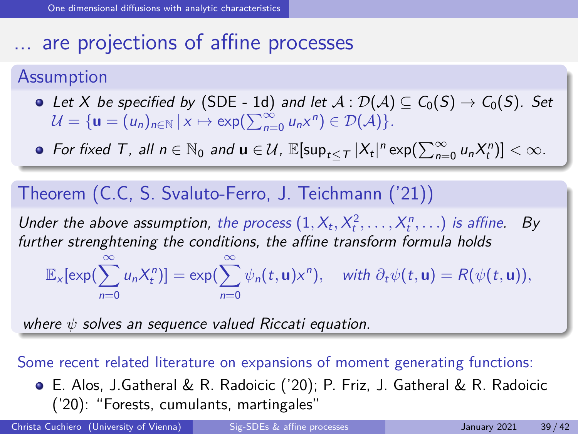# ... are projections of affine processes

#### Assumption

- Let X be specified by [\(SDE 1d\)](#page-48-1) and let  $A : \mathcal{D}(A) \subseteq C_0(S) \to C_0(S)$ . Set  $\mathcal{U} = {\mathbf{u} = (u_n)_{n \in \mathbb{N}} | x \mapsto \exp(\sum_{n=0}^{\infty} u_n x^n) \in \mathcal{D(A)}}$ .
- For fixed T, all  $n \in \mathbb{N}_0$  and  $\mathbf{u} \in \mathcal{U}$ ,  $\mathbb{E}[\sup_{t \leq T} |X_t|^n \exp(\sum_{n=0}^{\infty} u_n X_t^n)] < \infty$ .

#### Theorem (C.C, S. Svaluto-Ferro, J. Teichmann ('21))

Under the above assumption, the process  $(1, X_t, X_t^2, \ldots, X_t^n, \ldots)$  is affine. By further strenghtening the conditions, the affine transform formula holds

 $\mathbb{E}_{\mathsf{x}}[\mathsf{exp}(\sum^{\infty}_{ }% \widehat{w}\mathsf{log}(\mathsf{x})\mathsf{log}(\mathsf{x})\mathsf{log}(\mathsf{x})\mathsf{log}(\mathsf{x})\mathsf{log}(\mathsf{x})\mathsf{log}(\mathsf{x})\mathsf{log}(\mathsf{x})\mathsf{log}(\mathsf{x})\mathsf{log}(\mathsf{x})\mathsf{log}(\mathsf{x})\mathsf{log}(\mathsf{x})\mathsf{log}(\mathsf{x})\mathsf{log}(\mathsf{x})\mathsf{log}(\mathsf{x})\mathsf{log}(\mathsf{x})\mathsf{log}(\mathsf{x})\mathsf{log}(\mathsf{x})\math$  $n=0$  $[u_n X_t^n]$ ] = exp( $\sum_{n=1}^{\infty}$  $n=0$  $\psi_n(t, \mathbf{u}) \times^n$ ), with  $\partial_t \psi(t, \mathbf{u}) = R(\psi(t, \mathbf{u})),$ 

where *ψ* solves an sequence valued Riccati equation.

#### Some recent related literature on expansions of moment generating functions:

E. Alos, J.Gatheral & R. Radoicic ('20); P. Friz, J. Gatheral & R. Radoicic ('20): "Forests, cumulants, martingales"

Christa Cuchiero (University of Vienna) [Sig-SDEs & affine processes](#page-0-0) January 2021 39/42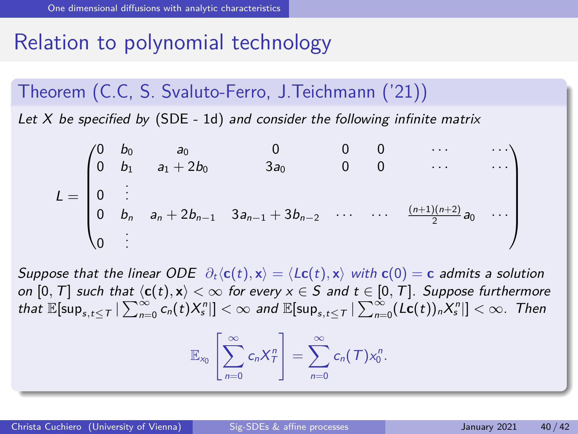# Relation to polynomial technology

Theorem (C.C, S. Svaluto-Ferro, J.Teichmann ('21))

Let  $X$  be specified by [\(SDE - 1d\)](#page-48-1) and consider the following infinite matrix

$$
L = \begin{pmatrix} 0 & b_0 & a_0 & 0 & 0 & 0 & \cdots & \cdots \\ 0 & b_1 & a_1 + 2b_0 & 3a_0 & 0 & 0 & \cdots & \cdots \\ 0 & \vdots & & & & & \\ 0 & b_n & a_n + 2b_{n-1} & 3a_{n-1} + 3b_{n-2} & \cdots & \cdots & \frac{(n+1)(n+2)}{2}a_0 & \cdots \\ 0 & \vdots & & & & \end{pmatrix}
$$

Suppose that the linear ODE  $\partial_t \langle c(t), x \rangle = \langle Lc(t), x \rangle$  with  $c(0) = c$  admits a solution on  $[0, T]$  such that  $\langle c(t), x \rangle < \infty$  for every  $x \in S$  and  $t \in [0, T]$ . Suppose furthermore  $\text{that } \mathbb{E}[\sup_{s,t\leq \tau}|\sum_{n=0}^{\infty}c_n(t)X^n_s|]<\infty$  and  $\mathbb{E}[\sup_{s,t\leq \tau}|\sum_{n=0}^{\infty}(\textsf{Lc}(t))_nX^n_s|]<\infty.$  Then

$$
\mathbb{E}_{x_0}\left[\sum_{n=0}^{\infty}c_nX_T^n\right]=\sum_{n=0}^{\infty}c_n(T)x_0^n.
$$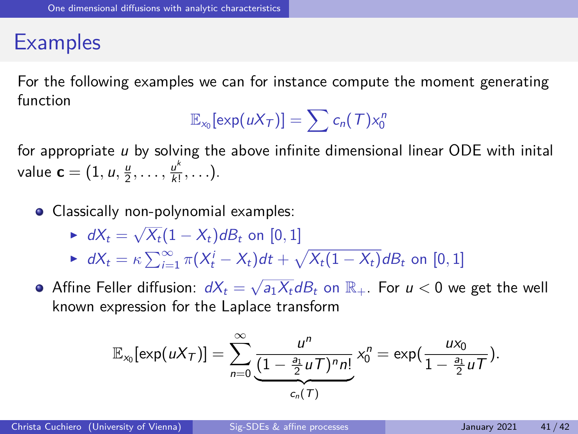### **Examples**

For the following examples we can for instance compute the moment generating function

$$
\mathbb{E}_{x_0}[\exp(uX_T)]=\sum c_n(T)x_0^n
$$

for appropriate  $\mu$  by solving the above infinite dimensional linear ODE with inital value  $\mathbf{c} = (1, u, \frac{u}{2}, \dots, \frac{u^k}{k!})$  $\frac{u}{k!}, \ldots$ ).

- Classically non-polynomial examples:
	- $\blacktriangleright$   $dX_t = \sqrt{X_t}(1 X_t)dB_t$  on [0, 1]
	- $\blacktriangleright$   $dX_t = \kappa \sum_{i=1}^{\infty} \pi (X_t^i X_t) dt + \sqrt{X_t (1 X_t)} dB_t$  on  $[0, 1]$
- Affine Feller diffusion:  $dX_t = \sqrt{a_1 X_t} dB_t$  on  $\mathbb{R}_+$ . For  $u < 0$  we get the well known expression for the Laplace transform

$$
\mathbb{E}_{x_0}[\exp(uX_T)] = \sum_{n=0}^{\infty} \underbrace{\frac{u^n}{(1-\frac{a_1}{2}uT)^n n!}}_{c_n(T)} x_0^n = \exp(\frac{ux_0}{1-\frac{a_1}{2}uT}).
$$